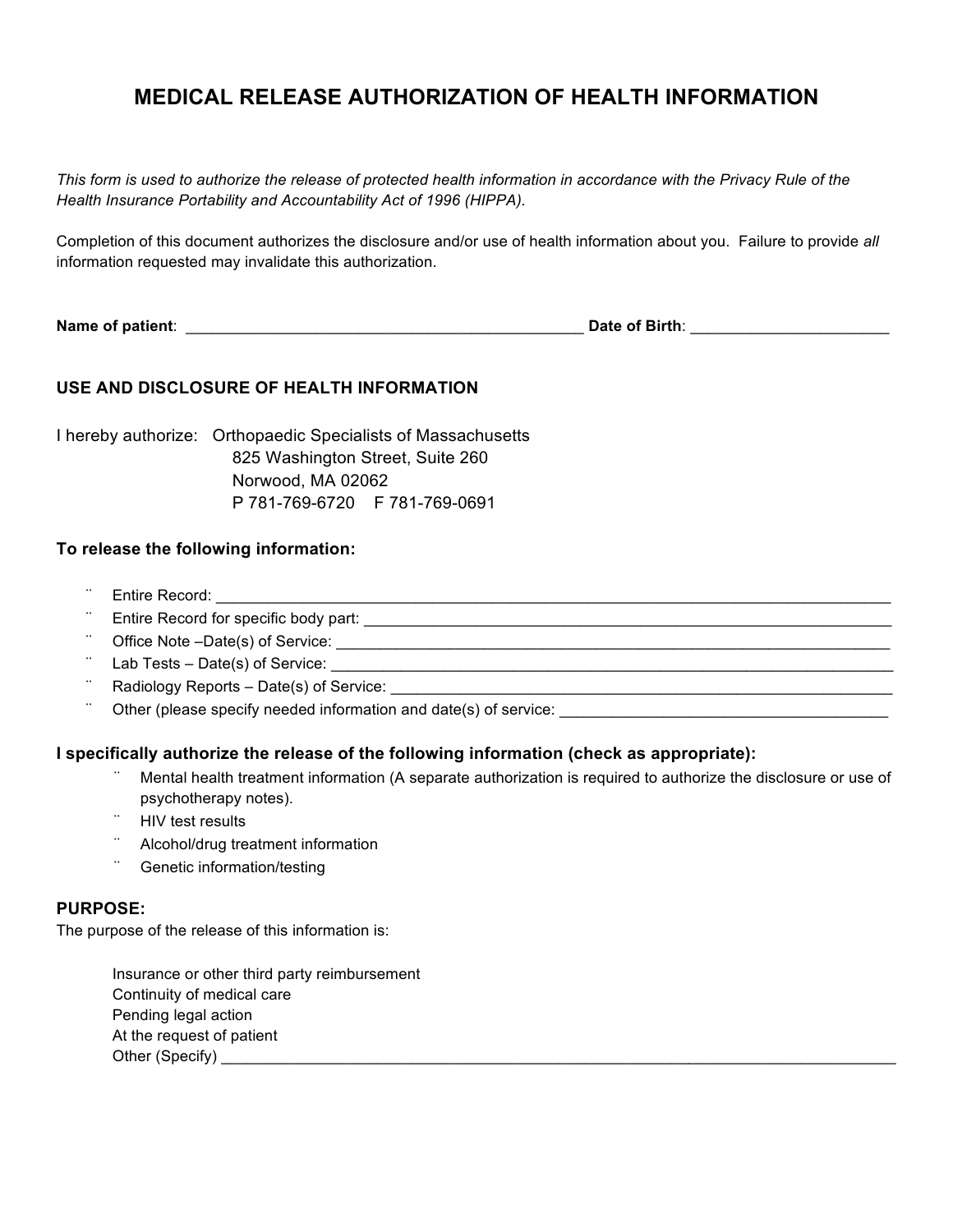# **MEDICAL RELEASE AUTHORIZATION OF HEALTH INFORMATION**

*This form is used to authorize the release of protected health information in accordance with the Privacy Rule of the Health Insurance Portability and Accountability Act of 1996 (HIPPA).*

Completion of this document authorizes the disclosure and/or use of health information about you. Failure to provide *all*  information requested may invalidate this authorization.

**Name of patient**: \_\_\_\_\_\_\_\_\_\_\_\_\_\_\_\_\_\_\_\_\_\_\_\_\_\_\_\_\_\_\_\_\_\_\_\_\_\_\_\_\_\_\_\_\_\_ **Date of Birth**: \_\_\_\_\_\_\_\_\_\_\_\_\_\_\_\_\_\_\_\_\_\_\_

## **USE AND DISCLOSURE OF HEALTH INFORMATION**

I hereby authorize: Orthopaedic Specialists of Massachusetts 825 Washington Street, Suite 260 Norwood, MA 02062 P 781-769-6720 F 781-769-0691

## **To release the following information:**

- ¨ Entire Record: \_\_\_\_\_\_\_\_\_\_\_\_\_\_\_\_\_\_\_\_\_\_\_\_\_\_\_\_\_\_\_\_\_\_\_\_\_\_\_\_\_\_\_\_\_\_\_\_\_\_\_\_\_\_\_\_\_\_\_\_\_\_\_\_\_\_\_\_\_\_\_\_\_\_\_\_\_\_
- Entire Record for specific body part:  $\Box$
- ¨ Office Note –Date(s) of Service: \_\_\_\_\_\_\_\_\_\_\_\_\_\_\_\_\_\_\_\_\_\_\_\_\_\_\_\_\_\_\_\_\_\_\_\_\_\_\_\_\_\_\_\_\_\_\_\_\_\_\_\_\_\_\_\_\_\_\_\_\_\_\_\_
- ¨ Lab Tests Date(s) of Service: \_\_\_\_\_\_\_\_\_\_\_\_\_\_\_\_\_\_\_\_\_\_\_\_\_\_\_\_\_\_\_\_\_\_\_\_\_\_\_\_\_\_\_\_\_\_\_\_\_\_\_\_\_\_\_\_\_\_\_\_\_\_\_\_\_
- Radiology Reports Date(s) of Service:
- Other (please specify needed information and date(s) of service: \_\_\_\_\_\_\_\_\_\_\_\_\_\_\_\_

## **I specifically authorize the release of the following information (check as appropriate):**

- Mental health treatment information (A separate authorization is required to authorize the disclosure or use of psychotherapy notes).
- **HIV test results**
- ¨ Alcohol/drug treatment information
- Genetic information/testing

### **PURPOSE:**

The purpose of the release of this information is:

Insurance or other third party reimbursement Continuity of medical care Pending legal action At the request of patient Other (Specify) \_\_\_\_\_\_\_\_\_\_\_\_\_\_\_\_\_\_\_\_\_\_\_\_\_\_\_\_\_\_\_\_\_\_\_\_\_\_\_\_\_\_\_\_\_\_\_\_\_\_\_\_\_\_\_\_\_\_\_\_\_\_\_\_\_\_\_\_\_\_\_\_\_\_\_\_\_\_